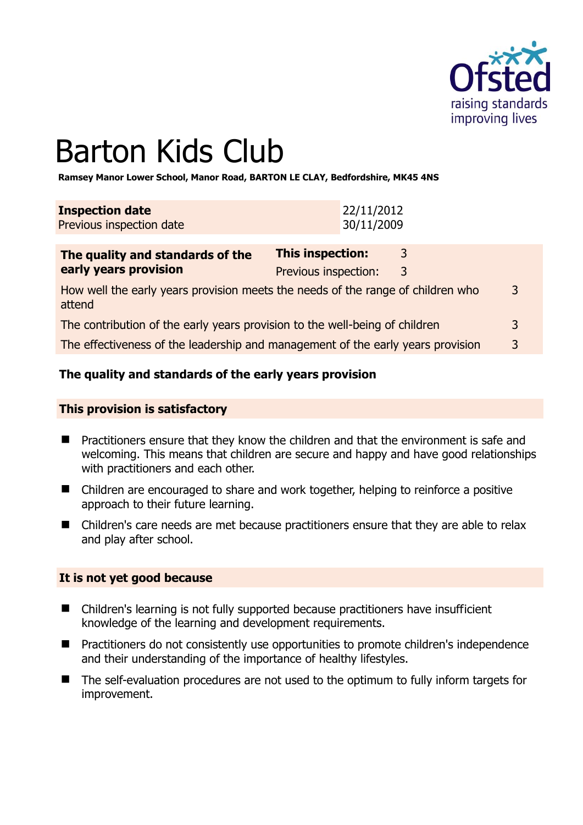

# Barton Kids Club

**Ramsey Manor Lower School, Manor Road, BARTON LE CLAY, Bedfordshire, MK45 4NS** 

| <b>Inspection date</b><br>Previous inspection date | 22/11/2012<br>30/11/2009 |   |  |
|----------------------------------------------------|--------------------------|---|--|
| The quality and standards of the                   | <b>This inspection:</b>  | 3 |  |
| early years provision                              | Previous inspection.     |   |  |

|                                                                                           | <b>TICYIUUS INSPULLIUM.</b> |   |
|-------------------------------------------------------------------------------------------|-----------------------------|---|
| How well the early years provision meets the needs of the range of children who<br>attend |                             | 3 |
| The contribution of the early years provision to the well-being of children               |                             | 3 |

The effectiveness of the leadership and management of the early years provision 3

#### **The quality and standards of the early years provision**

#### **This provision is satisfactory**

- Practitioners ensure that they know the children and that the environment is safe and welcoming. This means that children are secure and happy and have good relationships with practitioners and each other.
- Children are encouraged to share and work together, helping to reinforce a positive approach to their future learning.
- Children's care needs are met because practitioners ensure that they are able to relax and play after school.

#### **It is not yet good because**

- Children's learning is not fully supported because practitioners have insufficient knowledge of the learning and development requirements.
- **Practitioners do not consistently use opportunities to promote children's independence** and their understanding of the importance of healthy lifestyles.
- The self-evaluation procedures are not used to the optimum to fully inform targets for improvement.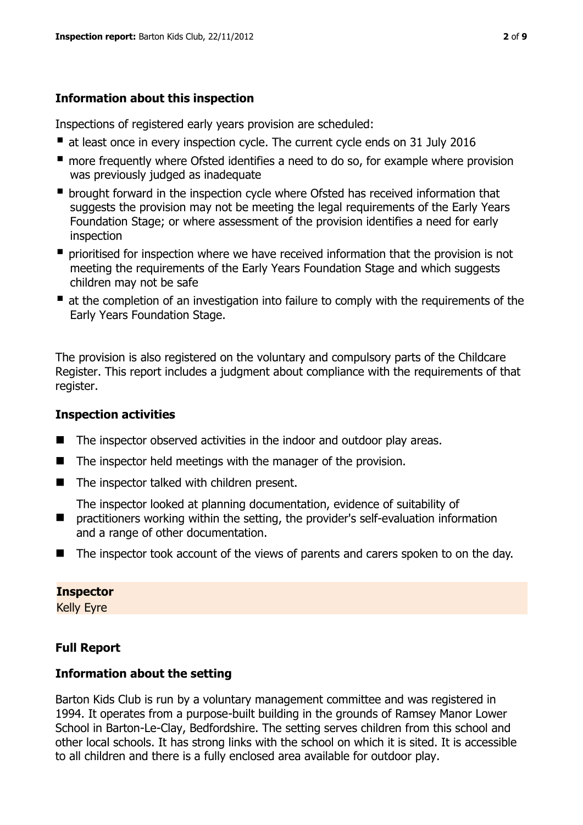## **Information about this inspection**

Inspections of registered early years provision are scheduled:

- at least once in every inspection cycle. The current cycle ends on 31 July 2016
- **n** more frequently where Ofsted identifies a need to do so, for example where provision was previously judged as inadequate
- **•** brought forward in the inspection cycle where Ofsted has received information that suggests the provision may not be meeting the legal requirements of the Early Years Foundation Stage; or where assessment of the provision identifies a need for early inspection
- **P** prioritised for inspection where we have received information that the provision is not meeting the requirements of the Early Years Foundation Stage and which suggests children may not be safe
- at the completion of an investigation into failure to comply with the requirements of the Early Years Foundation Stage.

The provision is also registered on the voluntary and compulsory parts of the Childcare Register. This report includes a judgment about compliance with the requirements of that register.

## **Inspection activities**

- The inspector observed activities in the indoor and outdoor play areas.
- $\blacksquare$  The inspector held meetings with the manager of the provision.
- The inspector talked with children present.

The inspector looked at planning documentation, evidence of suitability of

- $\blacksquare$ practitioners working within the setting, the provider's self-evaluation information and a range of other documentation.
- The inspector took account of the views of parents and carers spoken to on the day.

# **Inspector**

Kelly Eyre

# **Full Report**

## **Information about the setting**

Barton Kids Club is run by a voluntary management committee and was registered in 1994. It operates from a purpose-built building in the grounds of Ramsey Manor Lower School in Barton-Le-Clay, Bedfordshire. The setting serves children from this school and other local schools. It has strong links with the school on which it is sited. It is accessible to all children and there is a fully enclosed area available for outdoor play.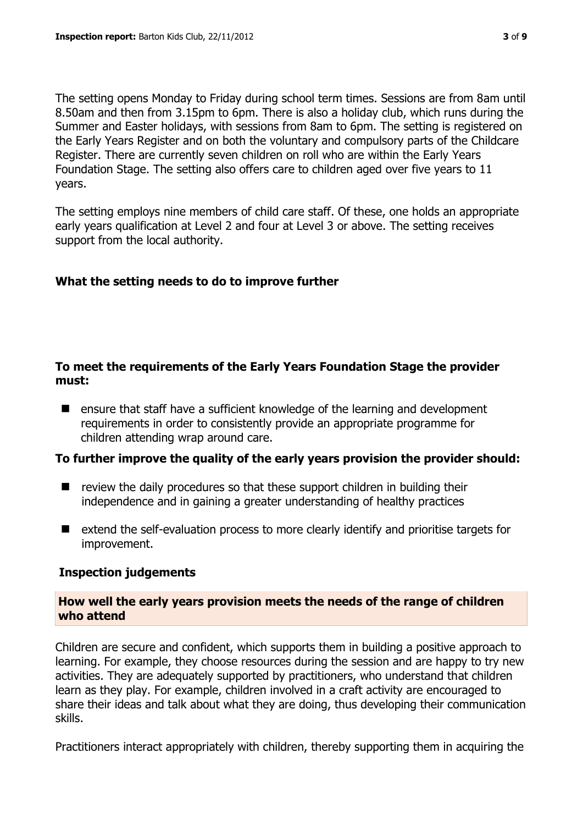The setting opens Monday to Friday during school term times. Sessions are from 8am until 8.50am and then from 3.15pm to 6pm. There is also a holiday club, which runs during the Summer and Easter holidays, with sessions from 8am to 6pm. The setting is registered on the Early Years Register and on both the voluntary and compulsory parts of the Childcare Register. There are currently seven children on roll who are within the Early Years Foundation Stage. The setting also offers care to children aged over five years to 11 years.

The setting employs nine members of child care staff. Of these, one holds an appropriate early years qualification at Level 2 and four at Level 3 or above. The setting receives support from the local authority.

## **What the setting needs to do to improve further**

#### **To meet the requirements of the Early Years Foundation Stage the provider must:**

**E** ensure that staff have a sufficient knowledge of the learning and development requirements in order to consistently provide an appropriate programme for children attending wrap around care.

#### **To further improve the quality of the early years provision the provider should:**

- $\blacksquare$  review the daily procedures so that these support children in building their independence and in gaining a greater understanding of healthy practices
- extend the self-evaluation process to more clearly identify and prioritise targets for improvement.

#### **Inspection judgements**

**How well the early years provision meets the needs of the range of children who attend**

Children are secure and confident, which supports them in building a positive approach to learning. For example, they choose resources during the session and are happy to try new activities. They are adequately supported by practitioners, who understand that children learn as they play. For example, children involved in a craft activity are encouraged to share their ideas and talk about what they are doing, thus developing their communication skills.

Practitioners interact appropriately with children, thereby supporting them in acquiring the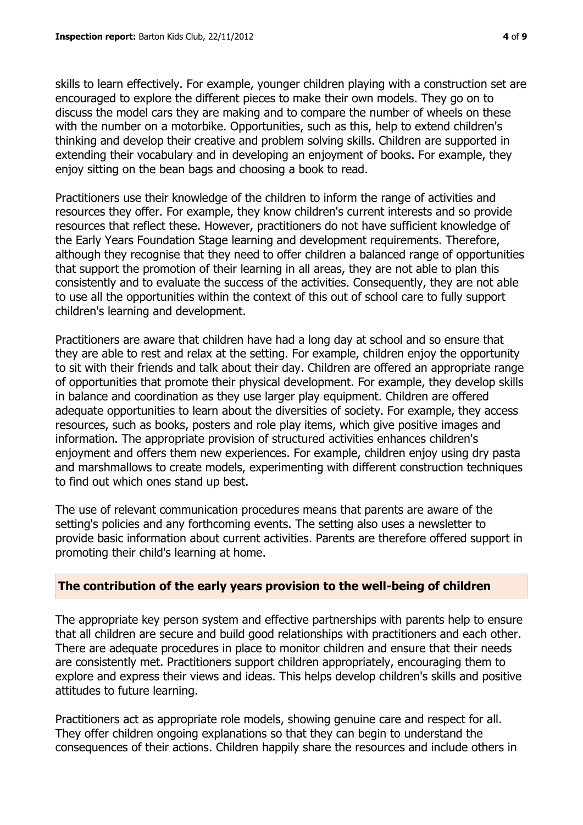skills to learn effectively. For example, younger children playing with a construction set are encouraged to explore the different pieces to make their own models. They go on to discuss the model cars they are making and to compare the number of wheels on these with the number on a motorbike. Opportunities, such as this, help to extend children's thinking and develop their creative and problem solving skills. Children are supported in extending their vocabulary and in developing an enjoyment of books. For example, they enjoy sitting on the bean bags and choosing a book to read.

Practitioners use their knowledge of the children to inform the range of activities and resources they offer. For example, they know children's current interests and so provide resources that reflect these. However, practitioners do not have sufficient knowledge of the Early Years Foundation Stage learning and development requirements. Therefore, although they recognise that they need to offer children a balanced range of opportunities that support the promotion of their learning in all areas, they are not able to plan this consistently and to evaluate the success of the activities. Consequently, they are not able to use all the opportunities within the context of this out of school care to fully support children's learning and development.

Practitioners are aware that children have had a long day at school and so ensure that they are able to rest and relax at the setting. For example, children enjoy the opportunity to sit with their friends and talk about their day. Children are offered an appropriate range of opportunities that promote their physical development. For example, they develop skills in balance and coordination as they use larger play equipment. Children are offered adequate opportunities to learn about the diversities of society. For example, they access resources, such as books, posters and role play items, which give positive images and information. The appropriate provision of structured activities enhances children's enjoyment and offers them new experiences. For example, children enjoy using dry pasta and marshmallows to create models, experimenting with different construction techniques to find out which ones stand up best.

The use of relevant communication procedures means that parents are aware of the setting's policies and any forthcoming events. The setting also uses a newsletter to provide basic information about current activities. Parents are therefore offered support in promoting their child's learning at home.

## **The contribution of the early years provision to the well-being of children**

The appropriate key person system and effective partnerships with parents help to ensure that all children are secure and build good relationships with practitioners and each other. There are adequate procedures in place to monitor children and ensure that their needs are consistently met. Practitioners support children appropriately, encouraging them to explore and express their views and ideas. This helps develop children's skills and positive attitudes to future learning.

Practitioners act as appropriate role models, showing genuine care and respect for all. They offer children ongoing explanations so that they can begin to understand the consequences of their actions. Children happily share the resources and include others in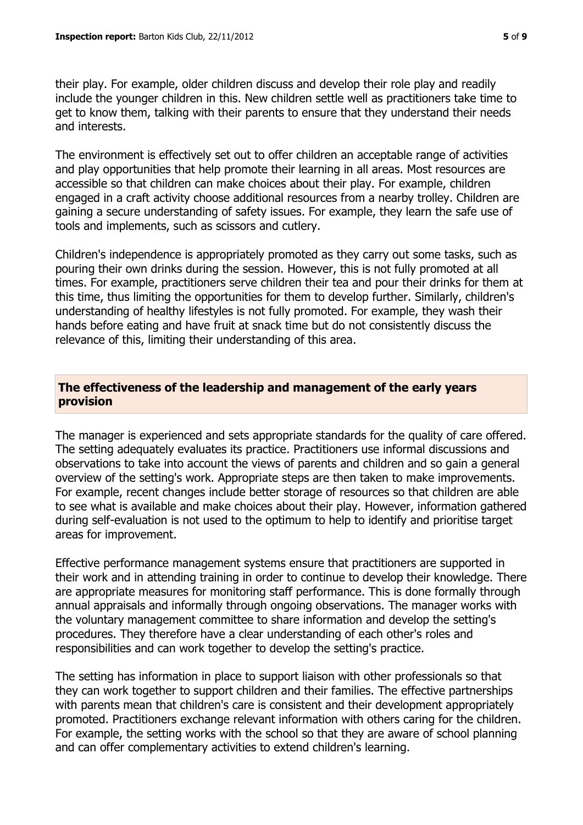their play. For example, older children discuss and develop their role play and readily include the younger children in this. New children settle well as practitioners take time to get to know them, talking with their parents to ensure that they understand their needs and interests.

The environment is effectively set out to offer children an acceptable range of activities and play opportunities that help promote their learning in all areas. Most resources are accessible so that children can make choices about their play. For example, children engaged in a craft activity choose additional resources from a nearby trolley. Children are gaining a secure understanding of safety issues. For example, they learn the safe use of tools and implements, such as scissors and cutlery.

Children's independence is appropriately promoted as they carry out some tasks, such as pouring their own drinks during the session. However, this is not fully promoted at all times. For example, practitioners serve children their tea and pour their drinks for them at this time, thus limiting the opportunities for them to develop further. Similarly, children's understanding of healthy lifestyles is not fully promoted. For example, they wash their hands before eating and have fruit at snack time but do not consistently discuss the relevance of this, limiting their understanding of this area.

#### **The effectiveness of the leadership and management of the early years provision**

The manager is experienced and sets appropriate standards for the quality of care offered. The setting adequately evaluates its practice. Practitioners use informal discussions and observations to take into account the views of parents and children and so gain a general overview of the setting's work. Appropriate steps are then taken to make improvements. For example, recent changes include better storage of resources so that children are able to see what is available and make choices about their play. However, information gathered during self-evaluation is not used to the optimum to help to identify and prioritise target areas for improvement.

Effective performance management systems ensure that practitioners are supported in their work and in attending training in order to continue to develop their knowledge. There are appropriate measures for monitoring staff performance. This is done formally through annual appraisals and informally through ongoing observations. The manager works with the voluntary management committee to share information and develop the setting's procedures. They therefore have a clear understanding of each other's roles and responsibilities and can work together to develop the setting's practice.

The setting has information in place to support liaison with other professionals so that they can work together to support children and their families. The effective partnerships with parents mean that children's care is consistent and their development appropriately promoted. Practitioners exchange relevant information with others caring for the children. For example, the setting works with the school so that they are aware of school planning and can offer complementary activities to extend children's learning.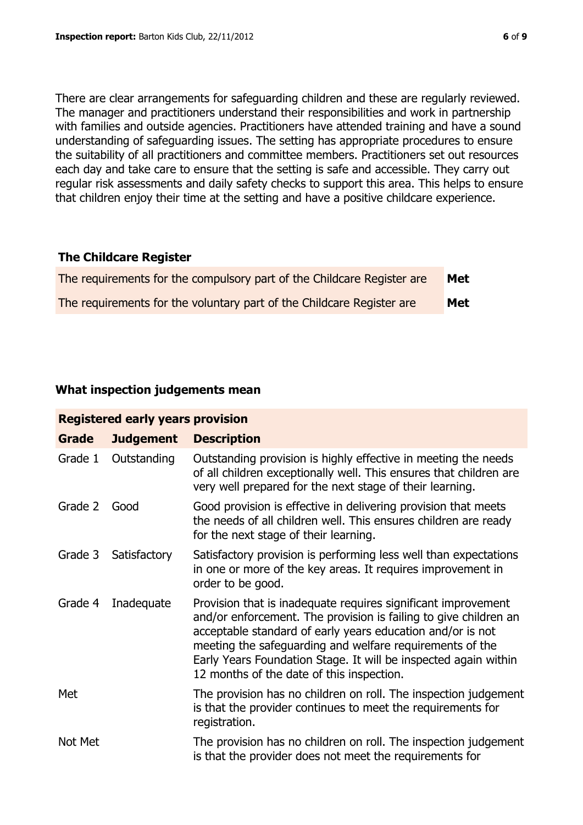There are clear arrangements for safeguarding children and these are regularly reviewed. The manager and practitioners understand their responsibilities and work in partnership with families and outside agencies. Practitioners have attended training and have a sound understanding of safeguarding issues. The setting has appropriate procedures to ensure the suitability of all practitioners and committee members. Practitioners set out resources each day and take care to ensure that the setting is safe and accessible. They carry out regular risk assessments and daily safety checks to support this area. This helps to ensure that children enjoy their time at the setting and have a positive childcare experience.

#### **The Childcare Register**

| The requirements for the compulsory part of the Childcare Register are | <b>Met</b> |
|------------------------------------------------------------------------|------------|
| The requirements for the voluntary part of the Childcare Register are  | <b>Met</b> |

## **What inspection judgements mean**

| <b>Registered early years provision</b> |                  |                                                                                                                                                                                                                                                                                                                                                                             |  |
|-----------------------------------------|------------------|-----------------------------------------------------------------------------------------------------------------------------------------------------------------------------------------------------------------------------------------------------------------------------------------------------------------------------------------------------------------------------|--|
| Grade                                   | <b>Judgement</b> | <b>Description</b>                                                                                                                                                                                                                                                                                                                                                          |  |
| Grade 1                                 | Outstanding      | Outstanding provision is highly effective in meeting the needs<br>of all children exceptionally well. This ensures that children are<br>very well prepared for the next stage of their learning.                                                                                                                                                                            |  |
| Grade 2                                 | Good             | Good provision is effective in delivering provision that meets<br>the needs of all children well. This ensures children are ready<br>for the next stage of their learning.                                                                                                                                                                                                  |  |
| Grade 3                                 | Satisfactory     | Satisfactory provision is performing less well than expectations<br>in one or more of the key areas. It requires improvement in<br>order to be good.                                                                                                                                                                                                                        |  |
| Grade 4                                 | Inadequate       | Provision that is inadequate requires significant improvement<br>and/or enforcement. The provision is failing to give children an<br>acceptable standard of early years education and/or is not<br>meeting the safeguarding and welfare requirements of the<br>Early Years Foundation Stage. It will be inspected again within<br>12 months of the date of this inspection. |  |
| Met                                     |                  | The provision has no children on roll. The inspection judgement<br>is that the provider continues to meet the requirements for<br>registration.                                                                                                                                                                                                                             |  |
| Not Met                                 |                  | The provision has no children on roll. The inspection judgement<br>is that the provider does not meet the requirements for                                                                                                                                                                                                                                                  |  |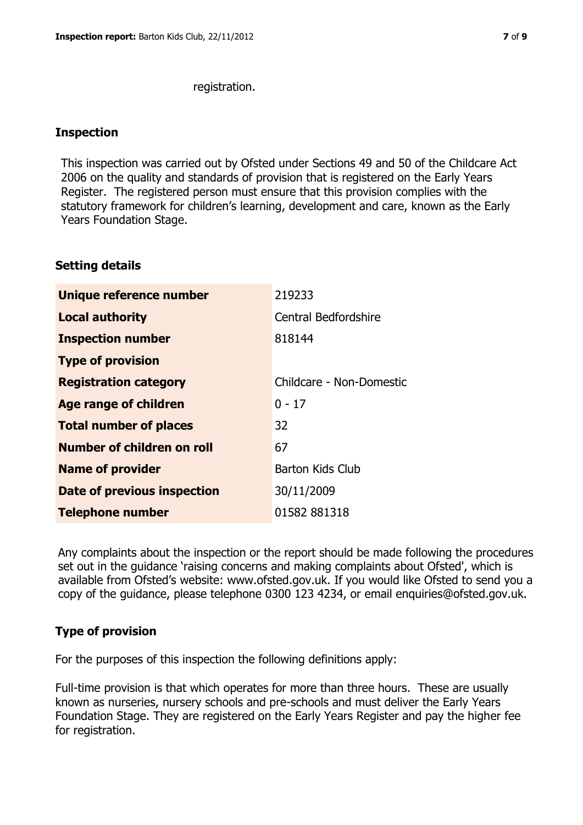registration.

#### **Inspection**

This inspection was carried out by Ofsted under Sections 49 and 50 of the Childcare Act 2006 on the quality and standards of provision that is registered on the Early Years Register. The registered person must ensure that this provision complies with the statutory framework for children's learning, development and care, known as the Early Years Foundation Stage.

#### **Setting details**

| Unique reference number            | 219233                      |
|------------------------------------|-----------------------------|
| <b>Local authority</b>             | <b>Central Bedfordshire</b> |
| <b>Inspection number</b>           | 818144                      |
| <b>Type of provision</b>           |                             |
| <b>Registration category</b>       | Childcare - Non-Domestic    |
| <b>Age range of children</b>       | $0 - 17$                    |
| <b>Total number of places</b>      | 32                          |
| Number of children on roll         | 67                          |
| <b>Name of provider</b>            | <b>Barton Kids Club</b>     |
| <b>Date of previous inspection</b> | 30/11/2009                  |
| <b>Telephone number</b>            | 01582 881318                |

Any complaints about the inspection or the report should be made following the procedures set out in the guidance 'raising concerns and making complaints about Ofsted', which is available from Ofsted's website: www.ofsted.gov.uk. If you would like Ofsted to send you a copy of the guidance, please telephone 0300 123 4234, or email enquiries@ofsted.gov.uk.

# **Type of provision**

For the purposes of this inspection the following definitions apply:

Full-time provision is that which operates for more than three hours. These are usually known as nurseries, nursery schools and pre-schools and must deliver the Early Years Foundation Stage. They are registered on the Early Years Register and pay the higher fee for registration.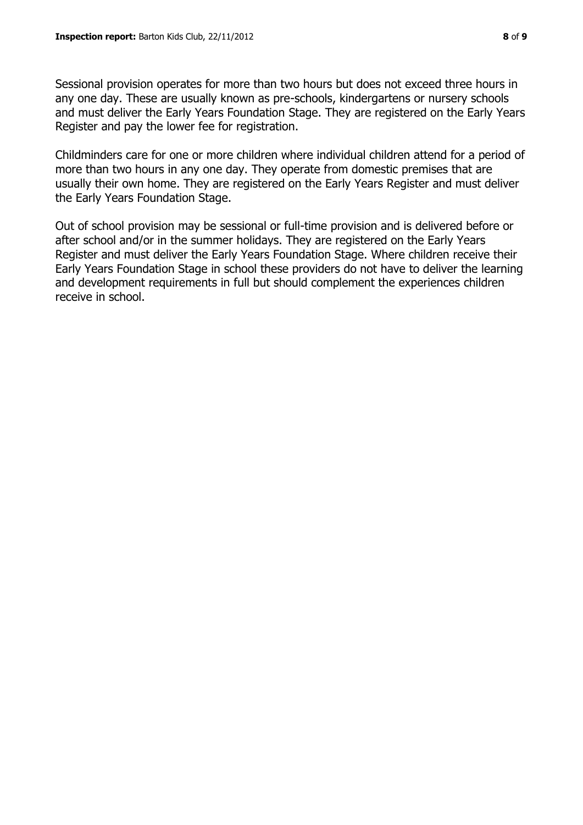Sessional provision operates for more than two hours but does not exceed three hours in any one day. These are usually known as pre-schools, kindergartens or nursery schools and must deliver the Early Years Foundation Stage. They are registered on the Early Years Register and pay the lower fee for registration.

Childminders care for one or more children where individual children attend for a period of more than two hours in any one day. They operate from domestic premises that are usually their own home. They are registered on the Early Years Register and must deliver the Early Years Foundation Stage.

Out of school provision may be sessional or full-time provision and is delivered before or after school and/or in the summer holidays. They are registered on the Early Years Register and must deliver the Early Years Foundation Stage. Where children receive their Early Years Foundation Stage in school these providers do not have to deliver the learning and development requirements in full but should complement the experiences children receive in school.